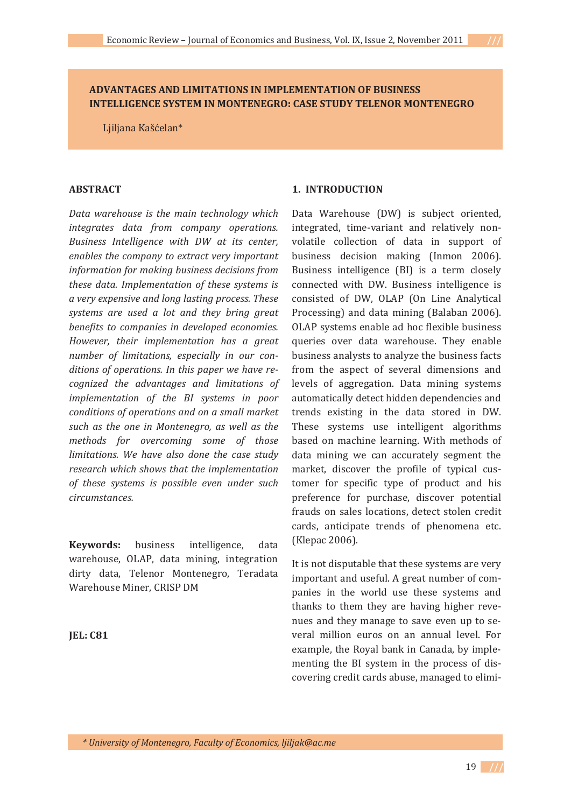# **ADVANTAGES AND LIMITATIONS IN IMPLEMENTATION OF BUSINESS INTELLIGENCE SYSTEM IN MONTENEGRO: CASE STUDY TELENOR MONTENEGRO**

Ljiljana Kašćelan\*

### **ABSTRACT**

*Data warehouse is the main technology which integrates data from company operations. Business Intelligence with DW at its center, enables the company to extract very important information for making business decisions from these data. Implementation of these systems is a very expensive and long lasting process. These systems are used a lot and they bring great benefits to companies in developed economies. However, their implementation has a great number of limitations, especially in our conditions of operations. In this paper we have reǦ cognized the advantages and limitations of implementation of the BI systems in poor conditions of operations and on a small market such as the one in Montenegro, as well as the methods for overcoming some of those limitations. We have also done the case study research which shows that the implementation of these systems is possible even under such circumstances.*

**Keywords:** business intelligence, data warehouse, OLAP, data mining, integration dirty data, Telenor Montenegro, Teradata Warehouse Miner, CRISP DM

**JEL: C81**

## **1. INTRODUCTION**

Data Warehouse (DW) is subject oriented, integrated, time-variant and relatively nonvolatile collection of data in support of business decision making (Inmon 2006). Business intelligence (BI) is a term closely connected with DW. Business intelligence is consisted of DW, OLAP (On Line Analytical Processing) and data mining (Balaban 2006). OLAP systems enable ad hoc flexible business queries over data warehouse. They enable business analysts to analyze the business facts from the aspect of several dimensions and levels of aggregation. Data mining systems automatically detect hidden dependencies and trends existing in the data stored in DW. These systems use intelligent algorithms based on machine learning. With methods of data mining we can accurately segment the market, discover the profile of typical customer for specific type of product and his preference for purchase, discover potential frauds on sales locations, detect stolen credit cards, anticipate trends of phenomena etc. (Klepac 2006).

It is not disputable that these systems are very important and useful. A great number of companies in the world use these systems and thanks to them they are having higher revenues and they manage to save even up to several million euros on an annual level. For example, the Royal bank in Canada, by implementing the BI system in the process of discovering credit cards abuse, managed to elimi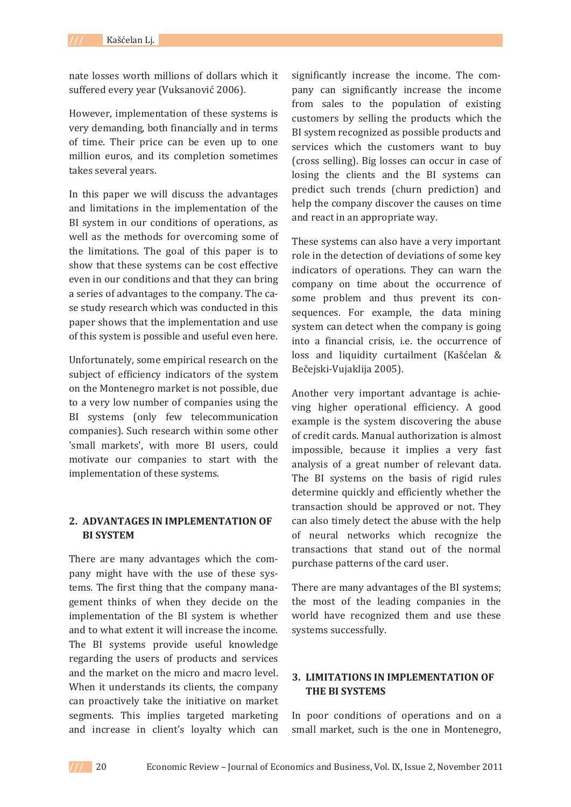nate losses worth millions of dollars which it suffered every year (Vuksanović 2006).

However, implementation of these systems is very demanding, both financially and in terms of time. Their price can be even up to one million euros, and its completion sometimes takes several years.

In this paper we will discuss the advantages and limitations in the implementation of the BI system in our conditions of operations, as well as the methods for overcoming some of the limitations. The goal of this paper is to show that these systems can be cost effective even in our conditions and that they can bring a series of advantages to the company. The case study research which was conducted in this paper shows that the implementation and use of this system is possible and useful even here.

Unfortunately, some empirical research on the subject of efficiency indicators of the system on the Montenegro market is not possible, due to a very low number of companies using the BI systems (only few telecommunication companies). Such research within some other 'small markets', with more BI users, could motivate our companies to start with the implementation of these systems.

# **2. ADVANTAGES IN IMPLEMENTATION OF BI SYSTEM**

There are many advantages which the company might have with the use of these systems. The first thing that the company management thinks of when they decide on the implementation of the BI system is whether and to what extent it will increase the income. The BI systems provide useful knowledge regarding the users of products and services and the market on the micro and macro level. When it understands its clients, the company can proactively take the initiative on market segments. This implies targeted marketing and increase in client's loyalty which can

significantly increase the income. The company can significantly increase the income from sales to the population of existing customers by selling the products which the BI system recognized as possible products and services which the customers want to buy (cross selling). Big losses can occur in case of losing the clients and the BI systems can predict such trends (churn prediction) and help the company discover the causes on time and react in an appropriate way.

These systems can also have a very important role in the detection of deviations of some key indicators of operations. They can warn the company on time about the occurrence of some problem and thus prevent its consequences. For example, the data mining system can detect when the company is going into a financial crisis, i.e. the occurrence of loss and liquidity curtailment (Kašćelan & Bečejski-Vujaklija 2005).

Another very important advantage is achieving higher operational efficiency. A good example is the system discovering the abuse of credit cards. Manual authorization is almost impossible, because it implies a very fast analysis of a great number of relevant data. The BI systems on the basis of rigid rules determine quickly and efficiently whether the transaction should be approved or not. They can also timely detect the abuse with the help of neural networks which recognize the transactions that stand out of the normal purchase patterns of the card user.

There are many advantages of the BI systems; the most of the leading companies in the world have recognized them and use these systems successfully.

# **3. LIMITATIONS IN IMPLEMENTATION OF THE BI SYSTEMS**

In poor conditions of operations and on a small market, such is the one in Montenegro,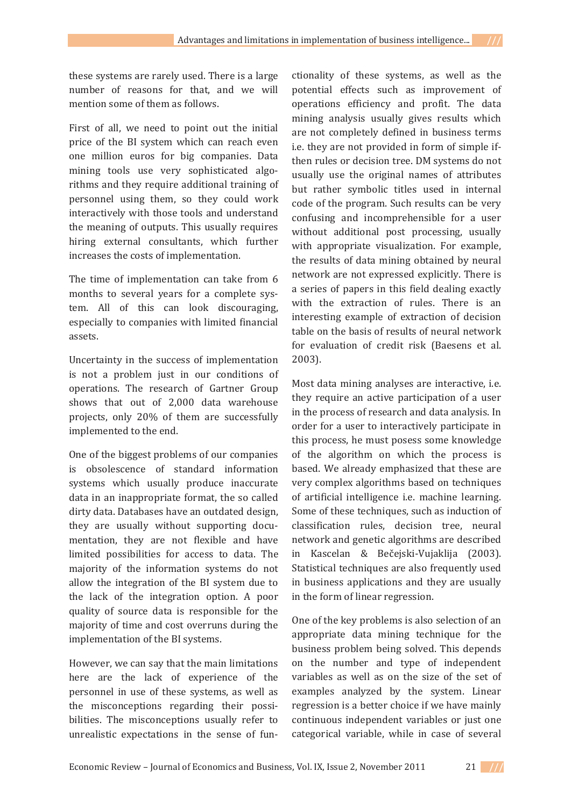these systems are rarely used. There is a large number of reasons for that, and we will mention some of them as follows

First of all, we need to point out the initial price of the BI system which can reach even one million euros for big companies. Data mining tools use very sophisticated algorithms and they require additional training of personnel using them, so they could work interactively with those tools and understand the meaning of outputs. This usually requires hiring external consultants, which further increases the costs of implementation.

The time of implementation can take from 6 months to several years for a complete system. All of this can look discouraging, especially to companies with limited financial assets.

Uncertainty in the success of implementation is not a problem just in our conditions of operations. The research of Gartner Group shows that out of 2,000 data warehouse projects, only 20% of them are successfully implemented to the end.

One of the biggest problems of our companies is obsolescence of standard information systems which usually produce inaccurate data in an inappropriate format, the so called dirty data. Databases have an outdated design. they are usually without supporting documentation, they are not flexible and have limited possibilities for access to data. The majority of the information systems do not allow the integration of the BI system due to the lack of the integration option. A poor quality of source data is responsible for the majority of time and cost overruns during the implementation of the BI systems.

However, we can say that the main limitations here are the lack of experience of the personnel in use of these systems, as well as the misconceptions regarding their possibilities. The misconceptions usually refer to unrealistic expectations in the sense of functionality of these systems, as well as the potential effects such as improvement of operations efficiency and profit. The data mining analysis usually gives results which are not completely defined in business terms i.e. they are not provided in form of simple ifthen rules or decision tree. DM systems do not usually use the original names of attributes but rather symbolic titles used in internal code of the program. Such results can be very confusing and incomprehensible for a user without additional post processing, usually with appropriate visualization. For example, the results of data mining obtained by neural network are not expressed explicitly. There is a series of papers in this field dealing exactly with the extraction of rules. There is an interesting example of extraction of decision table on the basis of results of neural network for evaluation of credit risk (Baesens et al.  $2003$ ).

Most data mining analyses are interactive, i.e. they require an active participation of a user in the process of research and data analysis. In order for a user to interactively participate in this process, he must posess some knowledge of the algorithm on which the process is based. We already emphasized that these are very complex algorithms based on techniques of artificial intelligence i.e. machine learning. Some of these techniques, such as induction of classification rules, decision tree, neural network and genetic algorithms are described in Kascelan & Bečejski-Vujaklija (2003). Statistical techniques are also frequently used in business applications and they are usually in the form of linear regression.

One of the key problems is also selection of an appropriate data mining technique for the business problem being solved. This depends on the number and type of independent variables as well as on the size of the set of examples analyzed by the system. Linear regression is a better choice if we have mainly continuous independent variables or just one categorical variable, while in case of several

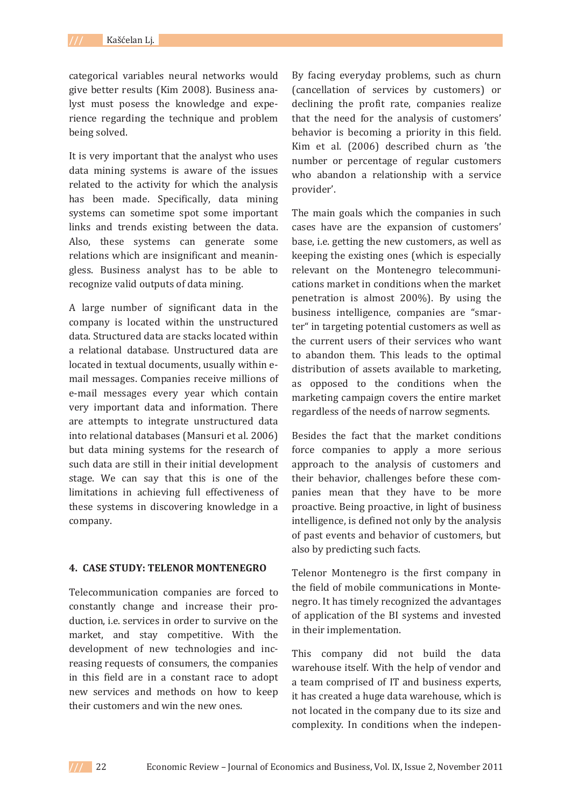categorical variables neural networks would give better results (Kim 2008). Business analyst must posess the knowledge and experience regarding the technique and problem being solved.

It is very important that the analyst who uses data mining systems is aware of the issues related to the activity for which the analysis has been made. Specifically, data mining systems can sometime spot some important links and trends existing between the data. Also, these systems can generate some relations which are insignificant and meaningless. Business analyst has to be able to recognize valid outputs of data mining.

A large number of significant data in the company is located within the unstructured data. Structured data are stacks located within a relational database. Unstructured data are located in textual documents, usually within email messages. Companies receive millions of e-mail messages every year which contain very important data and information. There are attempts to integrate unstructured data into relational databases (Mansuri et al. 2006) but data mining systems for the research of such data are still in their initial development stage. We can say that this is one of the limitations in achieving full effectiveness of these systems in discovering knowledge in a company.

#### **4. CASE STUDY: TELENOR MONTENEGRO**

Telecommunication companies are forced to constantly change and increase their production, *i.e.* services in order to survive on the market, and stay competitive. With the development of new technologies and increasing requests of consumers, the companies in this field are in a constant race to adopt new services and methods on how to keep their customers and win the new ones.

By facing everyday problems, such as churn (cancellation of services by customers) or declining the profit rate, companies realize that the need for the analysis of customers' behavior is becoming a priority in this field. Kim et al. (2006) described churn as 'the number or percentage of regular customers who abandon a relationship with a service provider'.

The main goals which the companies in such cases have are the expansion of customers' base, i.e. getting the new customers, as well as keeping the existing ones (which is especially relevant on the Montenegro telecommunications market in conditions when the market penetration is almost 200%). By using the business intelligence, companies are "smarter" in targeting potential customers as well as the current users of their services who want to abandon them. This leads to the optimal distribution of assets available to marketing, as opposed to the conditions when the marketing campaign covers the entire market regardless of the needs of narrow segments.

Besides the fact that the market conditions force companies to apply a more serious approach to the analysis of customers and their behavior, challenges before these companies mean that they have to be more proactive. Being proactive, in light of business intelligence, is defined not only by the analysis of past events and behavior of customers, but also by predicting such facts.

Telenor Montenegro is the first company in the field of mobile communications in Montenegro. It has timely recognized the advantages of application of the BI systems and invested in their implementation.

This company did not build the data warehouse itself. With the help of vendor and a team comprised of IT and business experts, it has created a huge data warehouse, which is not located in the company due to its size and complexity. In conditions when the indepen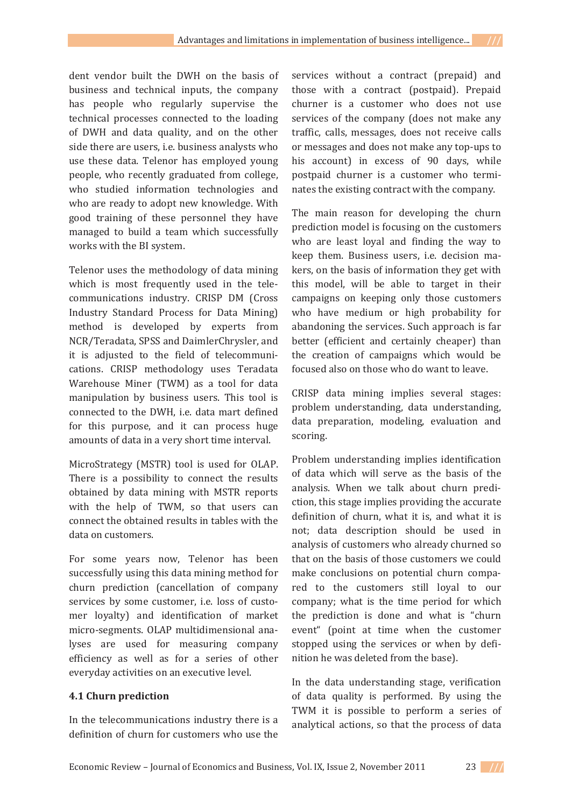dent vendor built the DWH on the basis of business and technical inputs, the company has people who regularly supervise the technical processes connected to the loading of DWH and data quality, and on the other side there are users, i.e. business analysts who use these data. Telenor has employed young people, who recently graduated from college, who studied information technologies and who are ready to adopt new knowledge. With good training of these personnel they have managed to build a team which successfully works with the BI system.

Telenor uses the methodology of data mining which is most frequently used in the telecommunications industry. CRISP DM (Cross Industry Standard Process for Data Mining) method is developed by experts from NCR/Teradata, SPSS and DaimlerChrysler, and it is adjusted to the field of telecommunications. CRISP methodology uses Teradata Warehouse Miner (TWM) as a tool for data manipulation by business users. This tool is connected to the DWH, i.e. data mart defined for this purpose, and it can process huge amounts of data in a very short time interval.

MicroStrategy (MSTR) tool is used for OLAP. There is a possibility to connect the results obtained by data mining with MSTR reports with the help of TWM, so that users can connect the obtained results in tables with the data on customers.

For some years now, Telenor has been successfully using this data mining method for churn prediction (cancellation of company services by some customer, i.e. loss of customer loyalty) and identification of market micro-segments. OLAP multidimensional analyses are used for measuring company efficiency as well as for a series of other everyday activities on an executive level.

### **4.1 Churn prediction**

In the telecommunications industry there is a definition of churn for customers who use the services without a contract (prepaid) and those with a contract (postpaid). Prepaid churner is a customer who does not use services of the company (does not make any traffic, calls, messages, does not receive calls or messages and does not make any top-ups to his account) in excess of 90 days, while postpaid churner is a customer who terminates the existing contract with the company.

The main reason for developing the churn prediction model is focusing on the customers who are least loyal and finding the way to keep them. Business users, i.e. decision makers, on the basis of information they get with this model, will be able to target in their campaigns on keeping only those customers who have medium or high probability for abandoning the services. Such approach is far better (efficient and certainly cheaper) than the creation of campaigns which would be focused also on those who do want to leave.

CRISP data mining implies several stages: problem understanding, data understanding, data preparation, modeling, evaluation and scoring.

Problem understanding implies identification of data which will serve as the basis of the analysis. When we talk about churn prediction, this stage implies providing the accurate definition of churn, what it is, and what it is not; data description should be used in analysis of customers who already churned so that on the basis of those customers we could make conclusions on potential churn compared to the customers still loyal to our company; what is the time period for which the prediction is done and what is "churn" event" (point at time when the customer stopped using the services or when by definition he was deleted from the base).

In the data understanding stage, verification of data quality is performed. By using the TWM it is possible to perform a series of analytical actions, so that the process of data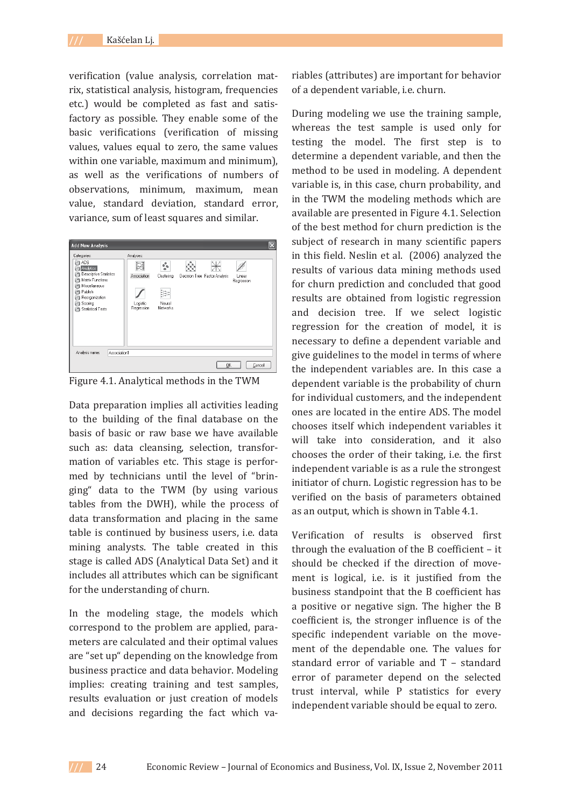verification (value analysis, correlation matrix, statistical analysis, histogram, frequencies etc.) would be completed as fast and satisfactory as possible. They enable some of the basic verifications (verification of missing values, values equal to zero, the same values within one variable, maximum and minimum), as well as the verifications of numbers of observations, minimum, maximum, mean value, standard deviation, standard error, variance, sum of least squares and similar.



Figure 4.1. Analytical methods in the TWM

Data preparation implies all activities leading to the building of the final database on the basis of basic or raw base we have available such as: data cleansing, selection, transformation of variables etc. This stage is performed by technicians until the level of "bringing" data to the TWM (by using various tables from the DWH), while the process of data transformation and placing in the same table is continued by business users, i.e. data mining analysts. The table created in this stage is called ADS (Analytical Data Set) and it includes all attributes which can be significant for the understanding of churn.

In the modeling stage, the models which correspond to the problem are applied, parameters are calculated and their optimal values are "set up" depending on the knowledge from business practice and data behavior. Modeling implies: creating training and test samples, results evaluation or just creation of models and decisions regarding the fact which variables (attributes) are important for behavior of a dependent variable, i.e. churn.

During modeling we use the training sample, whereas the test sample is used only for testing the model. The first step is to determine a dependent variable, and then the method to be used in modeling. A dependent variable is, in this case, churn probability, and in the TWM the modeling methods which are available are presented in Figure 4.1. Selection of the best method for churn prediction is the subject of research in many scientific papers in this field. Neslin et al. (2006) analyzed the results of various data mining methods used for churn prediction and concluded that good results are obtained from logistic regression and decision tree. If we select logistic regression for the creation of model, it is necessary to define a dependent variable and give guidelines to the model in terms of where the independent variables are. In this case a dependent variable is the probability of churn for individual customers, and the independent ones are located in the entire ADS. The model chooses itself which independent variables it will take into consideration, and it also chooses the order of their taking, *i.e.* the first independent variable is as a rule the strongest initiator of churn. Logistic regression has to be verified on the basis of parameters obtained as an output, which is shown in Table 4.1.

Verification of results is observed first through the evaluation of the B coefficient - it should be checked if the direction of movement is logical, *i.e.* is it justified from the business standpoint that the B coefficient has a positive or negative sign. The higher the B coefficient is, the stronger influence is of the specific independent variable on the movement of the dependable one. The values for standard error of variable and T - standard error of parameter depend on the selected trust interval, while P statistics for every independent variable should be equal to zero.

*///* 24 Economic Review – Journal of Economics and Business, Vol. IX, Issue 2, November 2011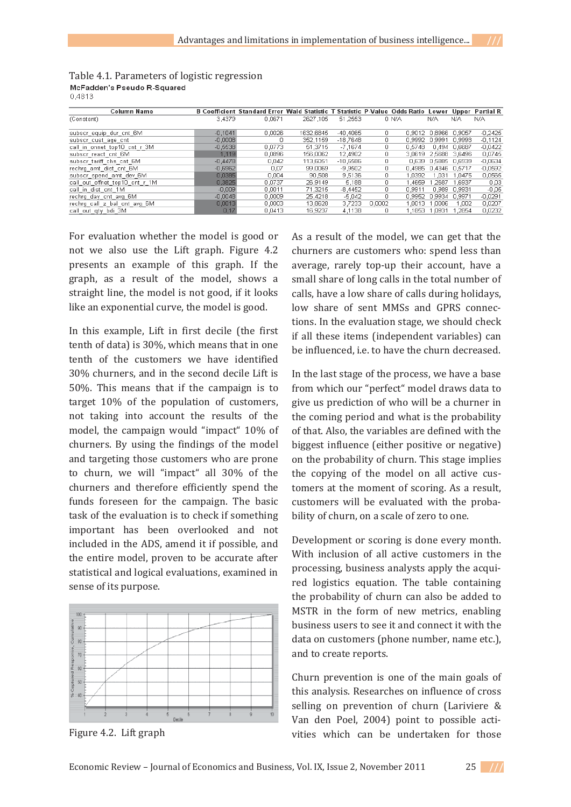| <b>Column Name</b>             |           | B Coefficient Standard Error Wald Statistic T Statistic P-Value Odds Ratio Lower Upper Partial R |           |            |        |        |                      |               |           |
|--------------------------------|-----------|--------------------------------------------------------------------------------------------------|-----------|------------|--------|--------|----------------------|---------------|-----------|
| (Constant)                     | 3,4379    | 0.0671                                                                                           | 2627.105  | 51.2553    |        | 0 N/A  | N/A                  | N/A           | N/A       |
| subscriequip durient 6M        | $-0.1041$ | 0,0026                                                                                           | 1632,6845 | $-40,4065$ | 0      |        | 0.9012 0.8966        | 0.9057        | $-0.2425$ |
| subscricust age ont            | $-0.0008$ | 0                                                                                                | 352.1159  | $-18.7648$ | ο      |        | 0.9992 0.9991        | 0.9993        | $-0,1124$ |
| call in onnet top10 cnt r 3M   | $-0,5538$ | 0,0773                                                                                           | 51,3715   | $-7,1674$  | 0      | 0.5748 | 0.494                | 0.6687        | $-0.0422$ |
| subscrifeact cnt 6M            | 1.119     | 0.0896                                                                                           | 156.0062  | 12.4902    | 0      | 3.0619 |                      | 2.5688 3.6496 | 0.0745    |
| subscritariff chs cnt 6M       | $-0.4478$ | 0.042                                                                                            | 113,6051  | $-10,6586$ | 0      | 0.639  | 0,5885 0,6939        |               | $-0.0634$ |
| rechrg amt dist cnt 6M         | $-0,6962$ | 0.07                                                                                             | 99.0069   | -9.9502    | 0      |        | 0.4985 0.4346 0.5717 |               | $-0,0592$ |
| subscr spend amt dev 6M        | 0,0385    | 0.004                                                                                            | 90,508    | 9,5136     | 0      | 1.0392 | 1.031                | .0475         | 0,0565    |
| call out offnet top10 cnt r 1M | 0,3825    | 0.0737                                                                                           | 26,9149   | 5,188      | 0      | .4659  | .2687                | .6937         | 0.03      |
| call in dist cnt 1M            | $-0.009$  | 0.0011                                                                                           | 71.3215   | $-8.4452$  | Ω      | 0.9911 | 0.989                | 0.9931        | $-0.05$   |
| rechrg day ont avg 6M          | $-0.0048$ | 0,0009                                                                                           | 25.4218   | $-5.042$   | 0      | 0.9952 | 0.9934               | 0.9971        | $-0.0291$ |
| rechrg call z bal cnt avg 6M   | 0,0013    | 0,0003                                                                                           | 13.8628   | 3.7233     | 0.0002 | 1.0013 | .0006                | 1,002         | 0,0207    |
| call out aty bdi 3M            | 0.17      | 0.0413                                                                                           | 16.9237   | 4.1138     |        | 1.1853 | 1.0931               | .2854         | 0.0232    |

Table 4.1. Parameters of logistic regression McFadden's Pseudo R-Squared 0.4813

For evaluation whether the model is good or not we also use the Lift graph. Figure 4.2 presents an example of this graph. If the graph, as a result of the model, shows a straight line, the model is not good, if it looks like an exponential curve, the model is good.

In this example. Lift in first decile (the first tenth of data) is 30%, which means that in one tenth of the customers we have identified 30% churners, and in the second decile Lift is 50%. This means that if the campaign is to target  $10\%$  of the population of customers, not taking into account the results of the model, the campaign would "impact" 10% of churners. By using the findings of the model and targeting those customers who are prone to churn, we will "impact" all 30% of the churners and therefore efficiently spend the funds foreseen for the campaign. The basic task of the evaluation is to check if something important has been overlooked and not included in the ADS, amend it if possible, and the entire model, proven to be accurate after statistical and logical evaluations, examined in sense of its purpose.



Figure 4.2. Lift graph

As a result of the model, we can get that the churners are customers who: spend less than average, rarely top-up their account, have a small share of long calls in the total number of calls, have a low share of calls during holidays. low share of sent MMSs and GPRS connections. In the evaluation stage, we should check if all these items (independent variables) can be influenced, i.e. to have the churn decreased.

In the last stage of the process, we have a base from which our "perfect" model draws data to give us prediction of who will be a churner in the coming period and what is the probability of that. Also, the variables are defined with the biggest influence (either positive or negative) on the probability of churn. This stage implies the copying of the model on all active customers at the moment of scoring. As a result, customers will be evaluated with the probability of churn, on a scale of zero to one.

Development or scoring is done every month. With inclusion of all active customers in the processing, business analysts apply the acquired logistics equation. The table containing the probability of churn can also be added to MSTR in the form of new metrics, enabling business users to see it and connect it with the data on customers (phone number, name etc.), and to create reports.

Churn prevention is one of the main goals of this analysis. Researches on influence of cross selling on prevention of churn (Lariviere & Van den Poel, 2004) point to possible activities which can be undertaken for those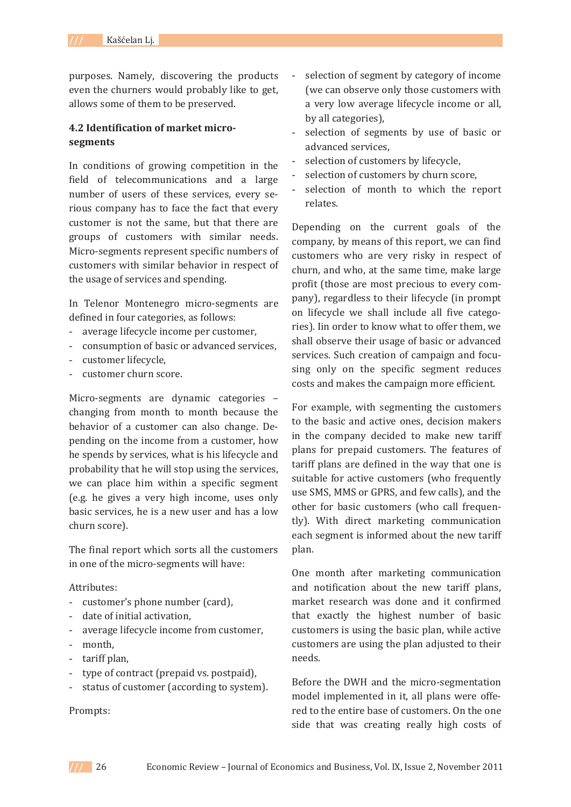purposes. Namely, discovering the products even the churners would probably like to get, allows some of them to be preserved.

## **4.2 Identification of market microǦ segments**

In conditions of growing competition in the field of telecommunications and a large number of users of these services, every serious company has to face the fact that every customer is not the same, but that there are groups of customers with similar needs. Micro-segments represent specific numbers of customers with similar behavior in respect of the usage of services and spending.

In Telenor Montenegro micro-segments are defined in four categories, as follows:

- average lifecycle income per customer,
- consumption of basic or advanced services,
- customer lifecycle.
- customer churn score.

Micro-segments are dynamic categories changing from month to month because the behavior of a customer can also change. Depending on the income from a customer, how he spends by services, what is his lifecycle and probability that he will stop using the services, we can place him within a specific segment (e.g. he gives a very high income, uses only basic services, he is a new user and has a low churn score).

The final report which sorts all the customers in one of the micro-segments will have:

#### Attributes:

- customer's phone number (card),
- date of initial activation.
- average lifecycle income from customer,
- month,
- tariff plan,
- type of contract (prepaid vs. postpaid),
- status of customer (according to system).

Prompts:

- selection of segment by category of income (we can observe only those customers with a very low average lifecycle income or all, by all categories),
- selection of segments by use of basic or advanced services.
- selection of customers by lifecycle,
- selection of customers by churn score,
- selection of month to which the report relates.

Depending on the current goals of the company, by means of this report, we can find customers who are very risky in respect of churn, and who, at the same time, make large profit (those are most precious to every company), regardless to their lifecycle (in prompt on lifecycle we shall include all five categories). Iin order to know what to offer them, we shall observe their usage of basic or advanced services. Such creation of campaign and focusing only on the specific segment reduces costs and makes the campaign more efficient.

For example, with segmenting the customers to the basic and active ones, decision makers in the company decided to make new tariff plans for prepaid customers. The features of tariff plans are defined in the way that one is suitable for active customers (who frequently use SMS, MMS or GPRS, and few calls), and the other for basic customers (who call frequently). With direct marketing communication each segment is informed about the new tariff plan.

One month after marketing communication and notification about the new tariff plans, market research was done and it confirmed that exactly the highest number of basic customers is using the basic plan, while active customers are using the plan adjusted to their needs.

Before the DWH and the micro-segmentation model implemented in it, all plans were offered to the entire base of customers. On the one side that was creating really high costs of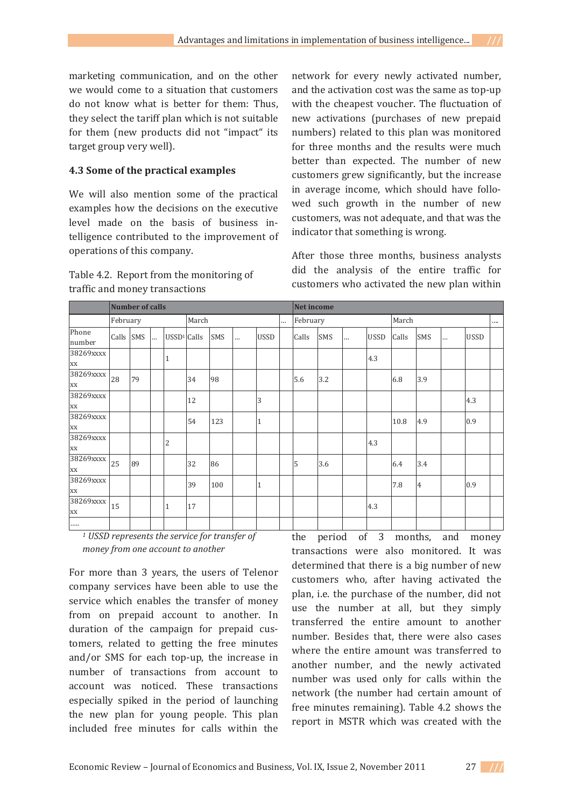marketing communication, and on the other we would come to a situation that customers do not know what is better for them: Thus, they select the tariff plan which is not suitable for them (new products did not "impact" its target group very well).

## **4.3 Some of the practical examples**

We will also mention some of the practical examples how the decisions on the executive level made on the basis of business intelligence contributed to the improvement of operations of this company.

Table 4.2. Report from the monitoring of traffic and money transactions

network for every newly activated number, and the activation cost was the same as top-up with the cheapest voucher. The fluctuation of new activations (purchases of new prepaid numbers) related to this plan was monitored for three months and the results were much better than expected. The number of new customers grew significantly, but the increase in average income, which should have followed such growth in the number of new customers, was not adequate, and that was the indicator that something is wrong.

After those three months, business analysts did the analysis of the entire traffic for customers who activated the new plan within

|                 | Number of calls |           |          |               |       |     |  |              |  |          | Net income |          |             |       |     |          |             |          |  |  |
|-----------------|-----------------|-----------|----------|---------------|-------|-----|--|--------------|--|----------|------------|----------|-------------|-------|-----|----------|-------------|----------|--|--|
|                 | February        |           |          |               | March |     |  |              |  | February |            |          |             | March |     |          |             | $\cdots$ |  |  |
| Phone<br>number |                 | Calls SMS | $\cdots$ | $USSD1$ Calls |       | SMS |  | <b>USSD</b>  |  | Calls    | SMS        | $\cdots$ | <b>USSD</b> | Calls | SMS | $\cdots$ | <b>USSD</b> |          |  |  |
| 38269xxxx<br>XX |                 |           |          | 1             |       |     |  |              |  |          |            |          | 4.3         |       |     |          |             |          |  |  |
| 38269xxxx<br>XX | 28              | 79        |          |               | 34    | 98  |  |              |  | 5.6      | 3.2        |          |             | 6.8   | 3.9 |          |             |          |  |  |
| 38269xxxx<br>XX |                 |           |          |               | 12    |     |  | 3            |  |          |            |          |             |       |     |          | 4.3         |          |  |  |
| 38269xxxx<br>XX |                 |           |          |               | 54    | 123 |  | $\mathbf{1}$ |  |          |            |          |             | 10.8  | 4.9 |          | 0.9         |          |  |  |
| 38269xxxx<br>XX |                 |           |          | 2             |       |     |  |              |  |          |            |          | 4.3         |       |     |          |             |          |  |  |
| 38269xxxx<br>XX | 25              | 89        |          |               | 32    | 86  |  |              |  | 5        | 3.6        |          |             | 6.4   | 3.4 |          |             |          |  |  |
| 38269xxxx<br>XX |                 |           |          |               | 39    | 100 |  | $\mathbf{1}$ |  |          |            |          |             | 7.8   | 4   |          | 0.9         |          |  |  |
| 38269xxxx<br>XX | 15              |           |          | 1             | 17    |     |  |              |  |          |            |          | 4.3         |       |     |          |             |          |  |  |
| .               |                 |           |          |               |       |     |  |              |  |          |            |          |             |       |     |          |             |          |  |  |

*<sup>1</sup> USSD represents the service for transfer of money from one account to another*

For more than 3 years, the users of Telenor company services have been able to use the service which enables the transfer of money from on prepaid account to another. In duration of the campaign for prepaid customers, related to getting the free minutes and/or SMS for each top-up, the increase in number of transactions from account to account was noticed. These transactions especially spiked in the period of launching the new plan for young people. This plan included free minutes for calls within the

the period of 3 months, and money transactions were also monitored. It was determined that there is a big number of new customers who, after having activated the plan, i.e. the purchase of the number, did not use the number at all, but they simply transferred the entire amount to another number. Besides that, there were also cases where the entire amount was transferred to another number, and the newly activated number was used only for calls within the network (the number had certain amount of free minutes remaining). Table 4.2 shows the report in MSTR which was created with the

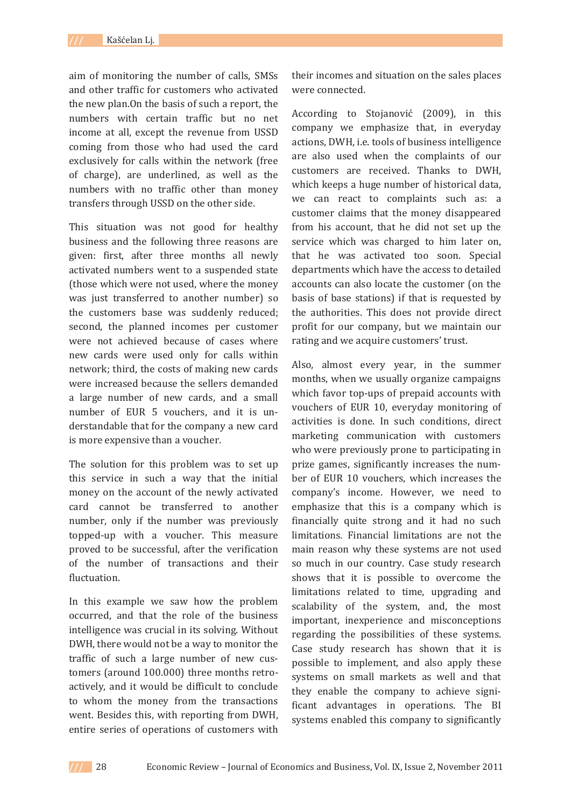aim of monitoring the number of calls, SMSs and other traffic for customers who activated the new plan. On the basis of such a report, the numbers with certain traffic but no net income at all, except the revenue from USSD coming from those who had used the card exclusively for calls within the network (free of charge), are underlined, as well as the numbers with no traffic other than money transfers through USSD on the other side.

This situation was not good for healthy business and the following three reasons are given: first, after three months all newly activated numbers went to a suspended state (those which were not used, where the money was just transferred to another number) so the customers base was suddenly reduced; second, the planned incomes per customer were not achieved because of cases where new cards were used only for calls within network; third, the costs of making new cards were increased because the sellers demanded a large number of new cards, and a small number of EUR 5 vouchers, and it is understandable that for the company a new card is more expensive than a voucher.

The solution for this problem was to set up this service in such a way that the initial money on the account of the newly activated card cannot be transferred to another number, only if the number was previously topped-up with a voucher. This measure proved to be successful, after the verification of the number of transactions and their fluctuation.

In this example we saw how the problem occurred, and that the role of the business intelligence was crucial in its solving. Without DWH, there would not be a way to monitor the traffic of such a large number of new customers (around 100.000) three months retroactively, and it would be difficult to conclude to whom the money from the transactions went. Besides this, with reporting from DWH, entire series of operations of customers with

their incomes and situation on the sales places were connected.

According to Stojanović (2009), in this company we emphasize that, in everyday actions, DWH, i.e. tools of business intelligence are also used when the complaints of our customers are received. Thanks to DWH, which keeps a huge number of historical data, we can react to complaints such as: a customer claims that the money disappeared from his account, that he did not set up the service which was charged to him later on, that he was activated too soon. Special departments which have the access to detailed accounts can also locate the customer (on the basis of base stations) if that is requested by the authorities. This does not provide direct profit for our company, but we maintain our rating and we acquire customers' trust.

Also, almost every year, in the summer months, when we usually organize campaigns which favor top-ups of prepaid accounts with vouchers of EUR 10, everyday monitoring of activities is done. In such conditions, direct marketing communication with customers who were previously prone to participating in prize games, significantly increases the number of EUR 10 vouchers, which increases the company's income. However, we need to emphasize that this is a company which is financially quite strong and it had no such limitations. Financial limitations are not the main reason why these systems are not used so much in our country. Case study research shows that it is possible to overcome the limitations related to time, upgrading and scalability of the system, and, the most important, inexperience and misconceptions regarding the possibilities of these systems. Case study research has shown that it is possible to implement, and also apply these systems on small markets as well and that they enable the company to achieve significant advantages in operations. The BI systems enabled this company to significantly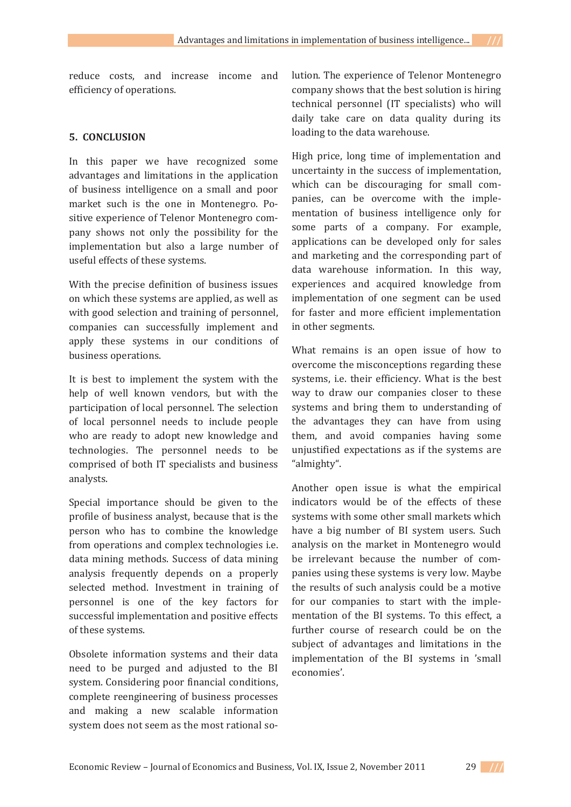# **5. CONCLUSION**

In this paper we have recognized some advantages and limitations in the application of business intelligence on a small and poor market such is the one in Montenegro. Positive experience of Telenor Montenegro company shows not only the possibility for the implementation but also a large number of useful effects of these systems.

With the precise definition of business issues on which these systems are applied, as well as with good selection and training of personnel, companies can successfully implement and apply these systems in our conditions of business operations.

It is best to implement the system with the help of well known vendors, but with the participation of local personnel. The selection of local personnel needs to include people who are ready to adopt new knowledge and technologies. The personnel needs to be comprised of both IT specialists and business analysts.

Special importance should be given to the profile of business analyst, because that is the person who has to combine the knowledge from operations and complex technologies *i.e.* data mining methods. Success of data mining analysis frequently depends on a properly selected method. Investment in training of personnel is one of the key factors for successful implementation and positive effects of these systems.

Obsolete information systems and their data need to be purged and adjusted to the BI system. Considering poor financial conditions, complete reengineering of business processes and making a new scalable information system does not seem as the most rational solution. The experience of Telenor Montenegro company shows that the best solution is hiring technical personnel (IT specialists) who will daily take care on data quality during its loading to the data warehouse.

High price, long time of implementation and uncertainty in the success of implementation, which can be discouraging for small companies, can be overcome with the implementation of business intelligence only for some parts of a company. For example, applications can be developed only for sales and marketing and the corresponding part of data warehouse information. In this way, experiences and acquired knowledge from implementation of one segment can be used for faster and more efficient implementation in other segments.

What remains is an open issue of how to overcome the misconceptions regarding these systems, i.e. their efficiency. What is the best way to draw our companies closer to these systems and bring them to understanding of the advantages they can have from using them, and avoid companies having some unjustified expectations as if the systems are "almighty".

Another open issue is what the empirical indicators would be of the effects of these systems with some other small markets which have a big number of BI system users. Such analysis on the market in Montenegro would be irrelevant because the number of companies using these systems is very low. Maybe the results of such analysis could be a motive for our companies to start with the implementation of the BI systems. To this effect, a further course of research could be on the subject of advantages and limitations in the implementation of the BI systems in 'small economies'.